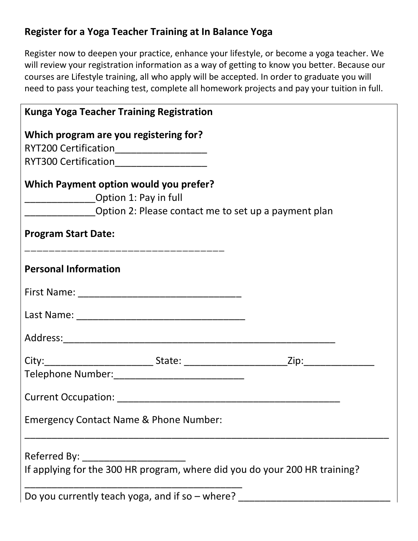#### **Register for a Yoga Teacher Training at In Balance Yoga**

Register now to deepen your practice, enhance your lifestyle, or become a yoga teacher. We will review your registration information as a way of getting to know you better. Because our courses are Lifestyle training, all who apply will be accepted. In order to graduate you will need to pass your teaching test, complete all homework projects and pay your tuition in full.

| <b>Kunga Yoga Teacher Training Registration</b>                                     |  |
|-------------------------------------------------------------------------------------|--|
| Which program are you registering for?                                              |  |
| RYT200 Certification______________________                                          |  |
| RYT300 Certification______________________                                          |  |
| Which Payment option would you prefer?<br>____________________Option 1: Pay in full |  |
| Option 2: Please contact me to set up a payment plan                                |  |
| <b>Program Start Date:</b>                                                          |  |
| <b>Personal Information</b>                                                         |  |
|                                                                                     |  |
|                                                                                     |  |
|                                                                                     |  |
|                                                                                     |  |
|                                                                                     |  |
|                                                                                     |  |
| <b>Emergency Contact Name &amp; Phone Number:</b>                                   |  |
|                                                                                     |  |
|                                                                                     |  |
| If applying for the 300 HR program, where did you do your 200 HR training?          |  |
| Do you currently teach yoga, and if so – where?                                     |  |